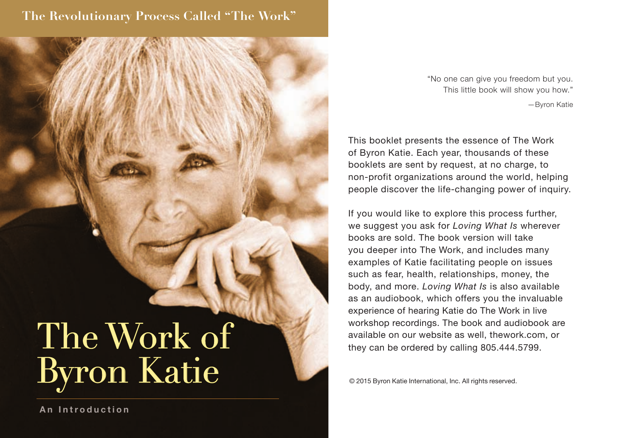#### **The Revolutionary Process Called "The Work"**

# The Work of Byron Katie

"No one can give you freedom but you. This little book will show you how." —Byron Katie

This booklet presents the essence of The Work of Byron Katie. Each year, thousands of these booklets are sent by request, at no charge, to non-profit organizations around the world, helping people discover the life-changing power of inquiry.

If you would like to explore this process further, we suggest you ask for *Loving What Is* wherever books are sold. The book version will take you deeper into The Work, and includes many examples of Katie facilitating people on issues such as fear, health, relationships, money, the body, and more. *Loving What Is* is also available as an audiobook, which offers you the invaluable experience of hearing Katie do The Work in live workshop recordings. The book and audiobook are available on our website as wel[l, thework.com,](http://www.thework.com) or they can be ordered by calling 805.444.5799.

© 2015 Byron Katie International, Inc. All rights reserved.

**An Introduction**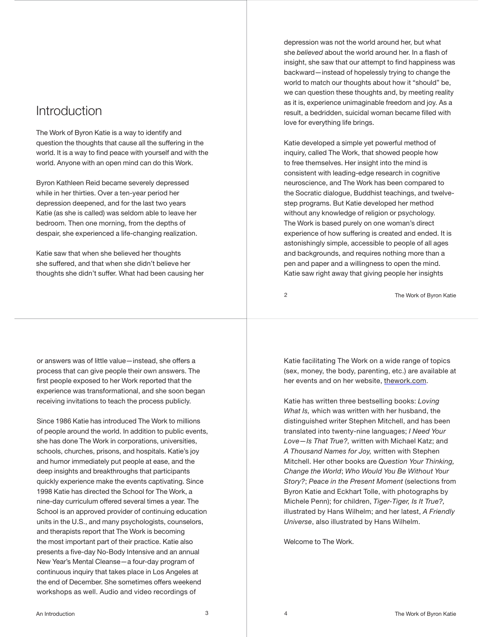### Introduction

The Work of Byron Katie is a way to identify and question the thoughts that cause all the suffering in the world. It is a way to find peace with yourself and with the world. Anyone with an open mind can do this Work.

Byron Kathleen Reid became severely depressed while in her thirties. Over a ten-year period her depression deepened, and for the last two years Katie (as she is called) was seldom able to leave her bedroom. Then one morning, from the depths of despair, she experienced a life-changing realization.

Katie saw that when she believed her thoughts she suffered, and that when she didn't believe her thoughts she didn't suffer. What had been causing her

or answers was of little value—instead, she offers a process that can give people their own answers. The first people exposed to her Work reported that the experience was transformational, and she soon began receiving invitations to teach the process publicly.

Since 1986 Katie has introduced The Work to millions of people around the world. In addition to public events, she has done The Work in corporations, universities, schools, churches, prisons, and hospitals. Katie's joy and humor immediately put people at ease, and the deep insights and breakthroughs that participants quickly experience make the events captivating. Since 1998 Katie has directed the School for The Work, a nine-day curriculum offered several times a year. The School is an approved provider of continuing education units in the U.S., and many psychologists, counselors, and therapists report that The Work is becoming the most important part of their practice. Katie also presents a five-day No-Body Intensive and an annual New Year's Mental Cleanse—a four-day program of continuous inquiry that takes place in Los Angeles at the end of December. She sometimes offers weekend workshops as well. Audio and video recordings of

depression was not the world around her, but what she *believed* about the world around her. In a flash of insight, she saw that our attempt to find happiness was backward—instead of hopelessly trying to change the world to match our thoughts about how it "should" be, we can question these thoughts and, by meeting reality as it is, experience unimaginable freedom and joy. As a result, a bedridden, suicidal woman became filled with love for everything life brings.

Katie developed a simple yet powerful method of inquiry, called The Work, that showed people how to free themselves. Her insight into the mind is consistent with leading-edge research in cognitive neuroscience, and The Work has been compared to the Socratic dialogue, Buddhist teachings, and twelvestep programs. But Katie developed her method without any knowledge of religion or psychology. The Work is based purely on one woman's direct experience of how suffering is created and ended. It is astonishingly simple, accessible to people of all ages and backgrounds, and requires nothing more than a pen and paper and a willingness to open the mind. Katie saw right away that giving people her insights

2 The Work of Byron Katie

Katie facilitating The Work on a wide range of topics (sex, money, the body, parenting, etc.) are available at her events and on her website[, thework.com](http://www.thework.com).

Katie has written three bestselling books: *Loving What Is,* which was written with her husband, the distinguished writer Stephen Mitchell, and has been translated into twenty-nine languages; *I Need Your Love—Is That True?,* written with Michael Katz; and *A Thousand Names for Joy,* written with Stephen Mitchell. Her other books are *Question Your Thinking, Change the World*; *Who Would You Be Without Your Story?*; *Peace in the Present Moment* (selections from Byron Katie and Eckhart Tolle, with photographs by Michele Penn); for children, *Tiger-Tiger, Is It True?,* illustrated by Hans Wilhelm; and her latest, *A Friendly Universe*, also illustrated by Hans Wilhelm.

Welcome to The Work.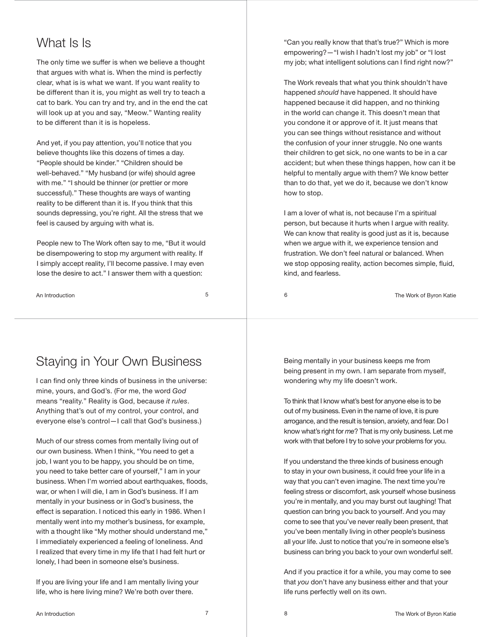# What Is Is

The only time we suffer is when we believe a thought that argues with what is. When the mind is perfectly clear, what is is what we want. If you want reality to be different than it is, you might as well try to teach a cat to bark. You can try and try, and in the end the cat will look up at you and say, "Meow." Wanting reality to be different than it is is hopeless.

And yet, if you pay attention, you'll notice that you believe thoughts like this dozens of times a day. "People should be kinder." "Children should be well-behaved." "My husband (or wife) should agree with me." "I should be thinner (or prettier or more successful)." These thoughts are ways of wanting reality to be different than it is. If you think that this sounds depressing, you're right. All the stress that we feel is caused by arguing with what is.

People new to The Work often say to me, "But it would be disempowering to stop my argument with reality. If I simply accept reality, I'll become passive. I may even lose the desire to act." I answer them with a question:

An Introduction 5

#### "Can you really know that that's true?" Which is more empowering?—"I wish I hadn't lost my job" or "I lost my job; what intelligent solutions can I find right now?"

The Work reveals that what you think shouldn't have happened *should* have happened. It should have happened because it did happen, and no thinking in the world can change it. This doesn't mean that you condone it or approve of it. It just means that you can see things without resistance and without the confusion of your inner struggle. No one wants their children to get sick, no one wants to be in a car accident; but when these things happen, how can it be helpful to mentally argue with them? We know better than to do that, yet we do it, because we don't know how to stop.

I am a lover of what is, not because I'm a spiritual person, but because it hurts when I argue with reality. We can know that reality is good just as it is, because when we argue with it, we experience tension and frustration. We don't feel natural or balanced. When we stop opposing reality, action becomes simple, fluid, kind, and fearless.

6 The Work of Byron Katie

# Staying in Your Own Business

I can find only three kinds of business in the universe: mine, yours, and God's. (For me, the word *God* means "reality." Reality is God, because *it rules*. Anything that's out of my control, your control, and everyone else's control—I call that God's business.)

Much of our stress comes from mentally living out of our own business. When I think, "You need to get a job, I want you to be happy, you should be on time, you need to take better care of yourself," I am in your business. When I'm worried about earthquakes, floods, war, or when I will die, I am in God's business. If I am mentally in your business or in God's business, the effect is separation. I noticed this early in 1986. When I mentally went into my mother's business, for example, with a thought like "My mother should understand me," I immediately experienced a feeling of loneliness. And I realized that every time in my life that I had felt hurt or lonely, I had been in someone else's business.

If you are living your life and I am mentally living your life, who is here living mine? We're both over there.

Being mentally in your business keeps me from being present in my own. I am separate from myself, wondering why my life doesn't work.

To think that I know what's best for anyone else is to be out of my business. Even in the name of love, it is pure arrogance, and the result is tension, anxiety, and fear. Do I know what's right for *me*? That is my only business. Let me work with that before I try to solve your problems for you.

If you understand the three kinds of business enough to stay in your own business, it could free your life in a way that you can't even imagine. The next time you're feeling stress or discomfort, ask yourself whose business you're in mentally, and you may burst out laughing! That question can bring you back to yourself. And you may come to see that you've never really been present, that you've been mentally living in other people's business all your life. Just to notice that you're in someone else's business can bring you back to your own wonderful self.

And if you practice it for a while, you may come to see that *you* don't have any business either and that your life runs perfectly well on its own.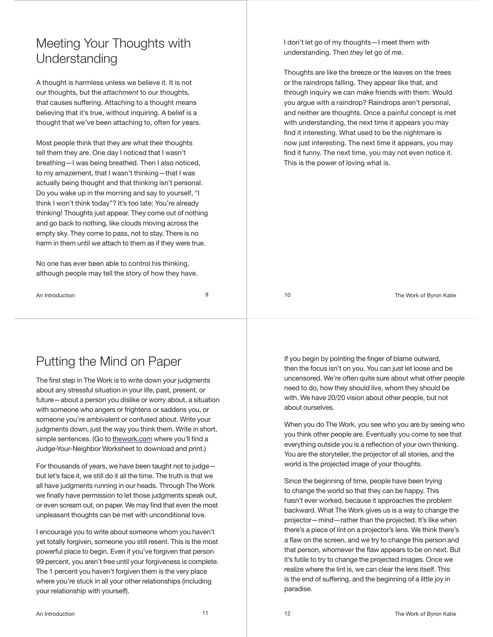### Meeting Your Thoughts with Understanding

A thought is harmless unless we believe it. It is not our thoughts, but the *attachment* to our thoughts, that causes suffering. Attaching to a thought means believing that it's true, without inquiring. A belief is a thought that we've been attaching to, often for years.

Most people think that they *are* what their thoughts tell them they are. One day I noticed that I wasn't breathing—I was being breathed. Then I also noticed, to my amazement, that I wasn't thinking—that I was actually being thought and that thinking isn't personal. Do you wake up in the morning and say to yourself, "I think I won't think today"? It's too late: You're already thinking! Thoughts just appear. They come out of nothing and go back to nothing, like clouds moving across the empty sky. They come to pass, not to stay. There is no harm in them until we attach to them as if they were true.

No one has ever been able to control his thinking, although people may tell the story of how they have.

An Introduction 9

I don't let go of my thoughts—I meet them with understanding. Then *they* let go of *me*.

Thoughts are like the breeze or the leaves on the trees or the raindrops falling. They appear like that, and through inquiry we can make friends with them. Would you argue with a raindrop? Raindrops aren't personal, and neither are thoughts. Once a painful concept is met with understanding, the next time it appears you may find it interesting. What used to be the nightmare is now just interesting. The next time it appears, you may find it funny. The next time, you may not even notice it. This is the power of loving what is.

10 The Work of Byron Katie

# Putting the Mind on Paper

The first step in The Work is to write down your judgments about any stressful situation in your life, past, present, or future—about a person you dislike or worry about, a situation with someone who angers or frightens or saddens you, or someone you're ambivalent or confused about. Write your judgments down, just the way you think them. Write in short, simple sentences. (Go t[o thework.com w](http://thework.com/sites/thework/downloads/worksheets/JudgeYourNeighbor_Worksheet.pdf)here you'll find a Judge-Your-Neighbor Worksheet to download and print.)

For thousands of years, we have been taught not to judge but let's face it, we still do it all the time. The truth is that we all have judgments running in our heads. Through The Work we finally have permission to let those judgments speak out, or even scream out, on paper. We may find that even the most unpleasant thoughts can be met with unconditional love.

I encourage you to write about someone whom you haven't yet totally forgiven, someone you still resent. This is the most powerful place to begin. Even if you've forgiven that person 99 percent, you aren't free until your forgiveness is complete. The 1 percent you haven't forgiven them is the very place where you're stuck in all your other relationships (including your relationship with yourself).

If you begin by pointing the finger of blame outward, then the focus isn't on you. You can just let loose and be uncensored. We're often quite sure about what other people need to do, how they should live, whom they should be with. We have 20/20 vision about other people, but not about ourselves.

When you do The Work, you see who you are by seeing who you think other people are. Eventually you come to see that everything outside you is a reflection of your own thinking. You are the storyteller, the projector of all stories, and the world is the projected image of your thoughts.

Since the beginning of time, people have been trying to change the world so that they can be happy. This hasn't ever worked, because it approaches the problem backward. What The Work gives us is a way to change the projector—mind—rather than the projected. It's like when there's a piece of lint on a projector's lens. We think there's a flaw on the screen, and we try to change this person and that person, whomever the flaw appears to be on next. But it's futile to try to change the projected images. Once we realize where the lint is, we can clear the lens itself. This is the end of suffering, and the beginning of a little joy in paradise.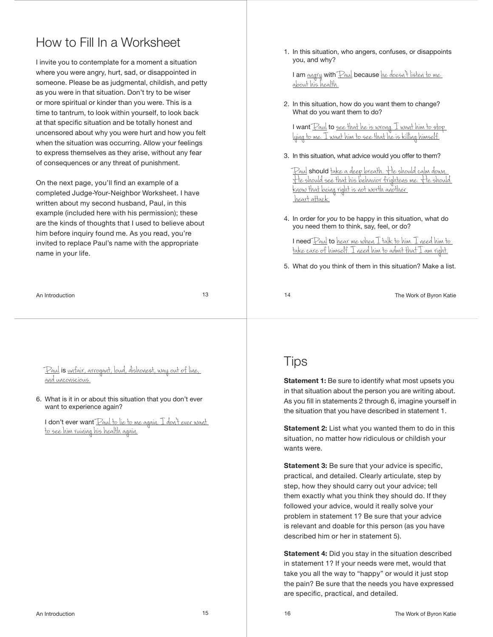# How to Fill In a Worksheet

I invite you to contemplate for a moment a situation where you were angry, hurt, sad, or disappointed in someone. Please be as judgmental, childish, and petty as you were in that situation. Don't try to be wiser or more spiritual or kinder than you were. This is a time to tantrum, to look within yourself, to look back at that specific situation and be totally honest and uncensored about why you were hurt and how you felt when the situation was occurring. Allow your feelings to express themselves as they arise, without any fear of consequences or any threat of punishment.

On the next page, you'll find an example of a completed Judge-Your-Neighbor Worksheet. I have written about my second husband, Paul, in this example (included here with his permission); these are the kinds of thoughts that I used to believe about him before inquiry found me. As you read, you're invited to replace Paul's name with the appropriate name in your life.

Paul is unfair, arrogant, loud, dishonest, way out of line, <u>and unconscious.</u>

6. What is it in or about this situation that you don't ever want to experience again?

<u>I don't ever want Paul to lie to me again. I don't ever want </u> to see him ruining his health again.

1. In this situation, who angers, confuses, or disappoints you, and why?

I am *angry* with  $\frac{1}{2}$  because he doesn't listen to me about his health.

2. In this situation, how do you want them to change? What do you want them to do?

**I want** <u>Paul</u> to <u>see that he is wrong. I want him to stop </u> lying to me. I want him to see that he is killing himself.

3. In this situation, what advice would you offer to them?

Paul should take a deep breath. He should calm down. He should see that his behavior frightens me. He should know that being right is not worth another heart attack.

4. In order for *you* to be happy in this situation, what do you need them to think, say, feel, or do?

**I need <u>Paul</u> to** <u>hear me when I talk to him. I need him to </u> take care of himself. I need him to admit that I am right.

5. What do you think of them in this situation? Make a list.

14 The Work of Byron Katie

# **Tips**

**Statement 1:** Be sure to identify what most upsets you in that situation about the person you are writing about. As you fill in statements 2 through 6, imagine yourself in the situation that you have described in statement 1.

**Statement 2:** List what you wanted them to do in this situation, no matter how ridiculous or childish your wants were.

**Statement 3:** Be sure that your advice is specific, practical, and detailed. Clearly articulate, step by step, how they should carry out your advice; tell them exactly what you think they should do. If they followed your advice, would it really solve your problem in statement 1? Be sure that your advice is relevant and doable for this person (as you have described him or her in statement 5).

**Statement 4:** Did you stay in the situation described in statement 1? If your needs were met, would that take you all the way to "happy" or would it just stop the pain? Be sure that the needs you have expressed are specific, practical, and detailed.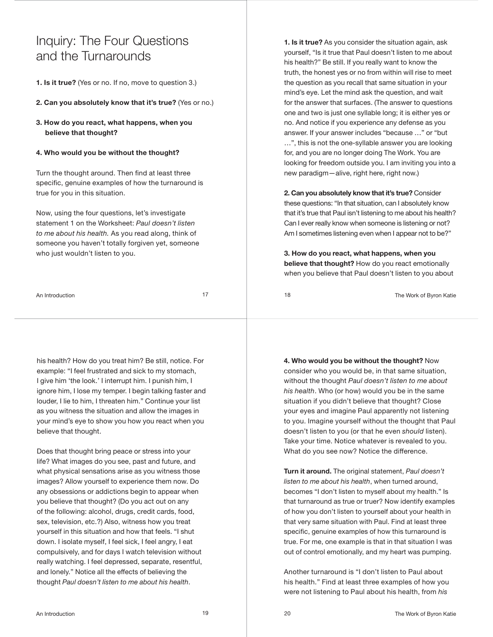### Inquiry: The Four Questions and the Turnarounds

- **1. Is it true?** (Yes or no. If no, move to question 3.)
- **2. Can you absolutely know that it's true?** (Yes or no.)
- **3. How do you react, what happens, when you believe that thought?**

#### **4. Who would you be without the thought?**

Turn the thought around. Then find at least three specific, genuine examples of how the turnaround is true for you in this situation.

Now, using the four questions, let's investigate statement 1 on the Worksheet: *Paul doesn't listen to me about his health.* As you read along, think of someone you haven't totally forgiven yet, someone who just wouldn't listen to you.

his health? How do you treat him? Be still, notice. For example: "I feel frustrated and sick to my stomach, I give him 'the look.' I interrupt him. I punish him, I ignore him, I lose my temper. I begin talking faster and louder, I lie to him, I threaten him." Continue your list as you witness the situation and allow the images in your mind's eye to show you how you react when you believe that thought.

Does that thought bring peace or stress into your life? What images do you see, past and future, and what physical sensations arise as you witness those images? Allow yourself to experience them now. Do any obsessions or addictions begin to appear when you believe that thought? (Do you act out on any of the following: alcohol, drugs, credit cards, food, sex, television, etc.?) Also, witness how you treat yourself in this situation and how that feels. "I shut down. I isolate myself, I feel sick, I feel angry, I eat compulsively, and for days I watch television without really watching. I feel depressed, separate, resentful, and lonely." Notice all the effects of believing the thought *Paul doesn't listen to me about his health*.

**1. Is it true?** As you consider the situation again, ask yourself, "Is it true that Paul doesn't listen to me about his health?" Be still. If you really want to know the truth, the honest yes or no from within will rise to meet the question as you recall that same situation in your mind's eye. Let the mind ask the question, and wait for the answer that surfaces. (The answer to questions one and two is just one syllable long; it is either yes or no. And notice if you experience any defense as you answer. If your answer includes "because …" or "but …", this is not the one-syllable answer you are looking for, and you are no longer doing The Work. You are looking for freedom outside you. I am inviting you into a new paradigm—alive, right here, right now.)

#### **2. Can you absolutely know that it's true?** Consider

these questions: "In that situation, can I absolutely know that it's true that Paul isn't listening to me about his health? Can I ever really know when someone is listening or not? Am I sometimes listening even when I appear not to be?"

**3. How do you react, what happens, when you believe that thought?** How do you react emotionally when you believe that Paul doesn't listen to you about

18 The Work of Byron Katie

**4. Who would you be without the thought?** Now consider who you would be, in that same situation, without the thought *Paul doesn't listen to me about his health*. Who (or how) would you be in the same situation if you didn't believe that thought? Close your eyes and imagine Paul apparently not listening to you. Imagine yourself without the thought that Paul doesn't listen to you (or that he even *should* listen). Take your time. Notice whatever is revealed to you. What do you see now? Notice the difference.

**Turn it around.** The original statement, *Paul doesn't listen to me about his health*, when turned around, becomes "I don't listen to myself about my health." Is that turnaround as true or truer? Now identify examples of how you don't listen to yourself about your health in that very same situation with Paul. Find at least three specific, genuine examples of how this turnaround is true. For me, one example is that in that situation I was out of control emotionally, and my heart was pumping.

Another turnaround is "I don't listen to Paul about his health." Find at least three examples of how you were not listening to Paul about his health, from *his*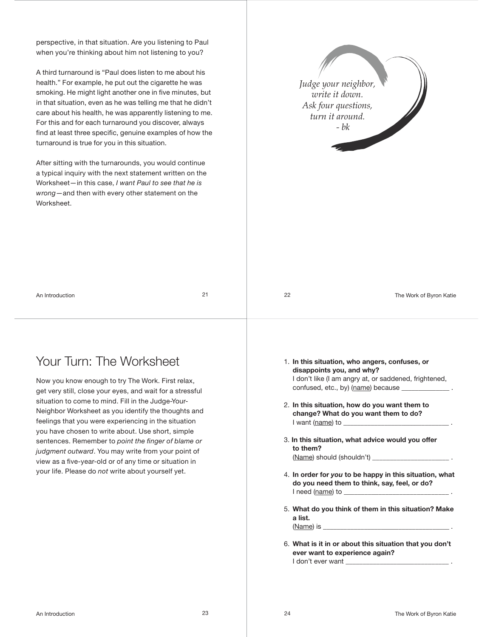perspective, in that situation. Are you listening to Paul when you're thinking about him not listening to you?

A third turnaround is "Paul does listen to me about his health." For example, he put out the cigarette he was smoking. He might light another one in five minutes, but in that situation, even as he was telling me that he didn't care about his health, he was apparently listening to me. For this and for each turnaround you discover, always find at least three specific, genuine examples of how the turnaround is true for you in this situation.

After sitting with the turnarounds, you would continue a typical inquiry with the next statement written on the Worksheet—in this case, *I want Paul to see that he is wrong*—and then with every other statement on the Worksheet.



An Introduction 21

### Your Turn: The Worksheet

Now you know enough to try The Work. First relax, get very still, close your eyes, and wait for a stressful situation to come to mind. Fill in the Judge-Your-Neighbor Worksheet as you identify the thoughts and feelings that you were experiencing in the situation you have chosen to write about. Use short, simple sentences. Remember to *point the finger of blame or judgment outward*. You may write from your point of view as a five-year-old or of any time or situation in your life. Please do *not* write about yourself yet.

1. **In this situation, who angers, confuses, or disappoints you, and why?** I don't like (I am angry at, or saddened, frightened, confused, etc., by) (name) because

22 The Work of Byron Katie

- 2. **In this situation, how do you want them to change? What do you want them to do?**  I want (name) to
- 3. **In this situation, what advice would you offer to them?** 
	- (Name) should (shouldn't) \_
- 4. **In order for** *you* **to be happy in this situation, what do you need them to think, say, feel, or do?**  I need (name) to
- 5. **What do you think of them in this situation? Make a list.**  $(Mame)$  is
- 6. **What is it in or about this situation that you don't ever want to experience again?**  I don't ever want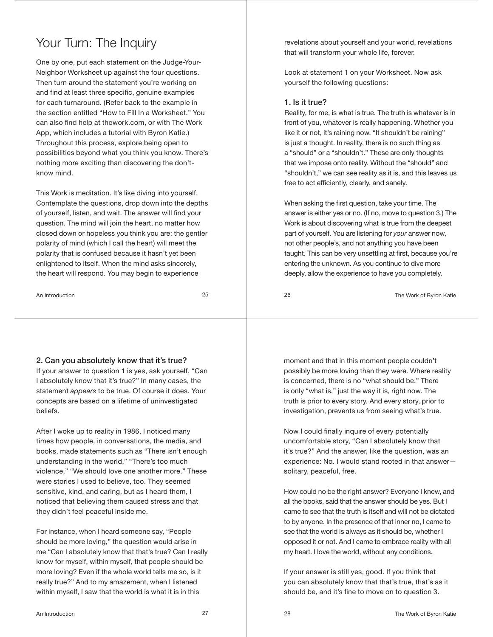# Your Turn: The Inquiry

One by one, put each statement on the Judge-Your-Neighbor Worksheet up against the four questions. Then turn around the statement you're working on and find at least three specific, genuine examples for each turnaround. (Refer back to the example in the section entitled "How to Fill In a Worksheet." You can also find help [at thework.com, o](http://www.thework.com)r with The Work App, which includes a tutorial with Byron Katie.) Throughout this process, explore being open to possibilities beyond what you think you know. There's nothing more exciting than discovering the don'tknow mind.

This Work is meditation. It's like diving into yourself. Contemplate the questions, drop down into the depths of yourself, listen, and wait. The answer will find your question. The mind will join the heart, no matter how closed down or hopeless you think you are: the gentler polarity of mind (which I call the heart) will meet the polarity that is confused because it hasn't yet been enlightened to itself. When the mind asks sincerely, the heart will respond. You may begin to experience

An Introduction 25

#### 2. Can you absolutely know that it's true?

If your answer to question 1 is yes, ask yourself, "Can I absolutely know that it's true?" In many cases, the statement *appears* to be true. Of course it does. Your concepts are based on a lifetime of uninvestigated beliefs.

After I woke up to reality in 1986, I noticed many times how people, in conversations, the media, and books, made statements such as "There isn't enough understanding in the world," "There's too much violence," "We should love one another more." These were stories I used to believe, too. They seemed sensitive, kind, and caring, but as I heard them, I noticed that believing them caused stress and that they didn't feel peaceful inside me.

For instance, when I heard someone say, "People should be more loving," the question would arise in me "Can I absolutely know that that's true? Can I really know for myself, within myself, that people should be more loving? Even if the whole world tells me so, is it really true?" And to my amazement, when I listened within myself, I saw that the world is what it is in this

revelations about yourself and your world, revelations that will transform your whole life, forever.

Look at statement 1 on your Worksheet. Now ask yourself the following questions:

#### 1. Is it true?

Reality, for me, is what is true. The truth is whatever is in front of you, whatever is really happening. Whether you like it or not, it's raining now. "It shouldn't be raining" is just a thought. In reality, there is no such thing as a "should" or a "shouldn't." These are only thoughts that we impose onto reality. Without the "should" and "shouldn't," we can see reality as it is, and this leaves us free to act efficiently, clearly, and sanely.

When asking the first question, take your time. The answer is either yes or no. (If no, move to question 3.) The Work is about discovering what is true from the deepest part of yourself. You are listening for *your* answer now, not other people's, and not anything you have been taught. This can be very unsettling at first, because you're entering the unknown. As you continue to dive more deeply, allow the experience to have you completely.

26 The Work of Byron Katie

moment and that in this moment people couldn't possibly be more loving than they were. Where reality is concerned, there is no "what should be." There is only "what is," just the way it is, right now. The truth is prior to every story. And every story, prior to investigation, prevents us from seeing what's true.

Now I could finally inquire of every potentially uncomfortable story, "Can I absolutely know that it's true?" And the answer, like the question, was an experience: No. I would stand rooted in that answer solitary, peaceful, free.

How could no be the right answer? Everyone I knew, and all the books, said that the answer should be yes. But I came to see that the truth is itself and will not be dictated to by anyone. In the presence of that inner no, I came to see that the world is always as it should be, whether I opposed it or not. And I came to embrace reality with all my heart. I love the world, without any conditions.

If your answer is still yes, good. If you think that you can absolutely know that that's true, that's as it should be, and it's fine to move on to question 3.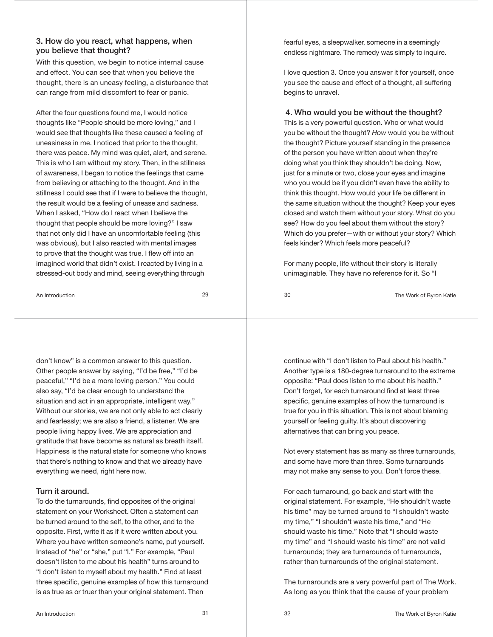#### 3. How do you react, what happens, when you believe that thought?

With this question, we begin to notice internal cause and effect. You can see that when you believe the thought, there is an uneasy feeling, a disturbance that can range from mild discomfort to fear or panic.

After the four questions found me, I would notice thoughts like "People should be more loving," and I would see that thoughts like these caused a feeling of uneasiness in me. I noticed that prior to the thought, there was peace. My mind was quiet, alert, and serene. This is who I am without my story. Then, in the stillness of awareness, I began to notice the feelings that came from believing or attaching to the thought. And in the stillness I could see that if I were to believe the thought, the result would be a feeling of unease and sadness. When I asked, "How do I react when I believe the thought that people should be more loving?" I saw that not only did I have an uncomfortable feeling (this was obvious), but I also reacted with mental images to prove that the thought was true. I flew off into an imagined world that didn't exist. I reacted by living in a stressed-out body and mind, seeing everything through

An Introduction 29

don't know" is a common answer to this question. Other people answer by saying, "I'd be free," "I'd be peaceful," "I'd be a more loving person." You could also say, "I'd be clear enough to understand the situation and act in an appropriate, intelligent way." Without our stories, we are not only able to act clearly and fearlessly; we are also a friend, a listener. We are people living happy lives. We are appreciation and gratitude that have become as natural as breath itself. Happiness is the natural state for someone who knows that there's nothing to know and that we already have everything we need, right here now.

#### Turn it around.

To do the turnarounds, find opposites of the original statement on your Worksheet. Often a statement can be turned around to the self, to the other, and to the opposite. First, write it as if it were written about you. Where you have written someone's name, put yourself. Instead of "he" or "she," put "I." For example, "Paul doesn't listen to me about his health" turns around to "I don't listen to myself about my health." Find at least three specific, genuine examples of how this turnaround is as true as or truer than your original statement. Then

fearful eyes, a sleepwalker, someone in a seemingly endless nightmare. The remedy was simply to inquire.

I love question 3. Once you answer it for yourself, once you see the cause and effect of a thought, all suffering begins to unravel.

#### 4. Who would you be without the thought?

This is a very powerful question. Who or what would you be without the thought? *How* would you be without the thought? Picture yourself standing in the presence of the person you have written about when they're doing what you think they shouldn't be doing. Now, just for a minute or two, close your eyes and imagine who you would be if you didn't even have the ability to think this thought. How would your life be different in the same situation without the thought? Keep your eyes closed and watch them without your story. What do you see? How do you feel about them without the story? Which do you prefer—with or without your story? Which feels kinder? Which feels more peaceful?

For many people, life without their story is literally unimaginable. They have no reference for it. So "I

30 The Work of Byron Katie

continue with "I don't listen to Paul about his health." Another type is a 180-degree turnaround to the extreme opposite: "Paul does listen to me about his health." Don't forget, for each turnaround find at least three specific, genuine examples of how the turnaround is true for you in this situation. This is not about blaming yourself or feeling guilty. It's about discovering alternatives that can bring you peace.

Not every statement has as many as three turnarounds, and some have more than three. Some turnarounds may not make any sense to you. Don't force these.

For each turnaround, go back and start with the original statement. For example, "He shouldn't waste his time" may be turned around to "I shouldn't waste my time," "I shouldn't waste his time," and "He should waste his time." Note that "I should waste my time" and "I should waste his time" are not valid turnarounds; they are turnarounds of turnarounds, rather than turnarounds of the original statement.

The turnarounds are a very powerful part of The Work. As long as you think that the cause of your problem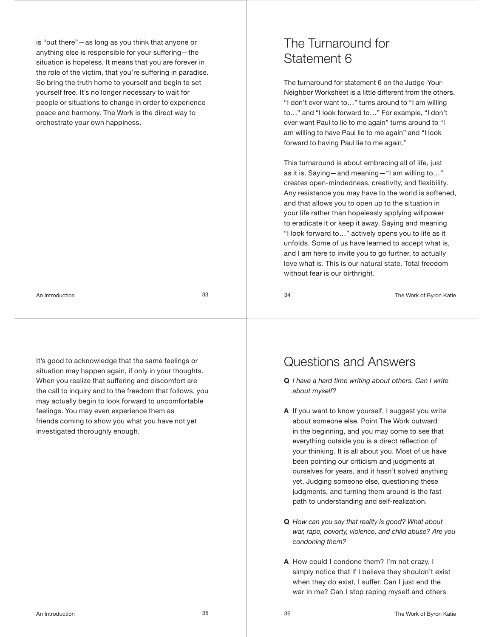is "out there"—as long as you think that anyone or anything else is responsible for your suffering—the situation is hopeless. It means that you are forever in the role of the victim, that you're suffering in paradise. So bring the truth home to yourself and begin to set yourself free. It's no longer necessary to wait for people or situations to change in order to experience peace and harmony. The Work is the direct way to orchestrate your own happiness.

It's good to acknowledge that the same feelings or situation may happen again, if only in your thoughts. When you realize that suffering and discomfort are the call to inquiry and to the freedom that follows, you may actually begin to look forward to uncomfortable feelings. You may even experience them as friends coming to show you what you have not yet investigated thoroughly enough.

### The Turnaround for Statement 6

The turnaround for statement 6 on the Judge-Your-Neighbor Worksheet is a little different from the others. "I don't ever want to…" turns around to "I am willing to…" and "I look forward to…" For example, "I don't ever want Paul to lie to me again" turns around to "I am willing to have Paul lie to me again" and "I look forward to having Paul lie to me again."

This turnaround is about embracing all of life, just as it is. Saying—and meaning—"I am willing to…" creates open-mindedness, creativity, and flexibility. Any resistance you may have to the world is softened, and that allows you to open up to the situation in your life rather than hopelessly applying willpower to eradicate it or keep it away. Saying and meaning "I look forward to…" actively opens you to life as it unfolds. Some of us have learned to accept what is, and I am here to invite you to go further, to actually love what is. This is our natural state. Total freedom without fear is our birthright.

34 The Work of Byron Katie

### Questions and Answers

- **Q** *I have a hard time writing about others. Can I write about myself?*
- **A** If you want to know yourself, I suggest you write about someone else. Point The Work outward in the beginning, and you may come to see that everything outside you is a direct reflection of your thinking. It is all about you. Most of us have been pointing our criticism and judgments at ourselves for years, and it hasn't solved anything yet. Judging someone else, questioning these judgments, and turning them around is the fast path to understanding and self-realization.
- **Q** *How can you say that reality is good? What about war, rape, poverty, violence, and child abuse? Are you condoning them?*
- **A** How could I condone them? I'm not crazy. I simply notice that if I believe they shouldn't exist when they do exist, I suffer. Can I just end the war in me? Can I stop raping myself and others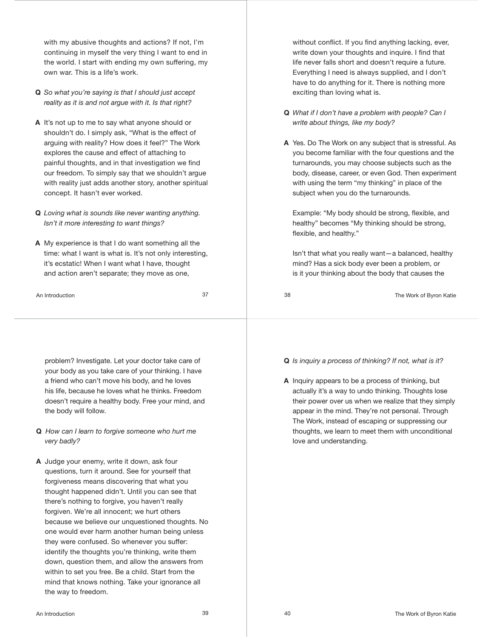with my abusive thoughts and actions? If not, I'm continuing in myself the very thing I want to end in the world. I start with ending my own suffering, my own war. This is a life's work.

- **Q** *So what you're saying is that I should just accept reality as it is and not argue with it. Is that right?*
- **A** It's not up to me to say what anyone should or shouldn't do. I simply ask, "What is the effect of arguing with reality? How does it feel?" The Work explores the cause and effect of attaching to painful thoughts, and in that investigation we find our freedom. To simply say that we shouldn't argue with reality just adds another story, another spiritual concept. It hasn't ever worked.
- **Q** *Loving what is sounds like never wanting anything. Isn't it more interesting to want things?*
- **A** My experience is that I do want something all the time: what I want is what is. It's not only interesting, it's ecstatic! When I want what I have, thought and action aren't separate; they move as one,

An Introduction 37

problem? Investigate. Let your doctor take care of your body as you take care of your thinking. I have a friend who can't move his body, and he loves his life, because he loves what he thinks. Freedom doesn't require a healthy body. Free your mind, and the body will follow.

- **Q** *How can I learn to forgive someone who hurt me very badly?*
- **A** Judge your enemy, write it down, ask four questions, turn it around. See for yourself that forgiveness means discovering that what you thought happened didn't. Until you can see that there's nothing to forgive, you haven't really forgiven. We're all innocent; we hurt others because we believe our unquestioned thoughts. No one would ever harm another human being unless they were confused. So whenever you suffer: identify the thoughts you're thinking, write them down, question them, and allow the answers from within to set you free. Be a child. Start from the mind that knows nothing. Take your ignorance all the way to freedom.

without conflict. If you find anything lacking, ever, write down your thoughts and inquire. I find that life never falls short and doesn't require a future. Everything I need is always supplied, and I don't have to do anything for it. There is nothing more exciting than loving what is.

- **Q** *What if I don't have a problem with people? Can I write about things, like my body?*
- **A** Yes. Do The Work on any subject that is stressful. As you become familiar with the four questions and the turnarounds, you may choose subjects such as the body, disease, career, or even God. Then experiment with using the term "my thinking" in place of the subject when you do the turnarounds.

Example: "My body should be strong, flexible, and healthy" becomes "My thinking should be strong, flexible, and healthy."

Isn't that what you really want—a balanced, healthy mind? Has a sick body ever been a problem, or is it your thinking about the body that causes the

38 The Work of Byron Katie

#### **Q** *Is inquiry a process of thinking? If not, what is it?*

**A** Inquiry appears to be a process of thinking, but actually it's a way to undo thinking. Thoughts lose their power over us when we realize that they simply appear in the mind. They're not personal. Through The Work, instead of escaping or suppressing our thoughts, we learn to meet them with unconditional love and understanding.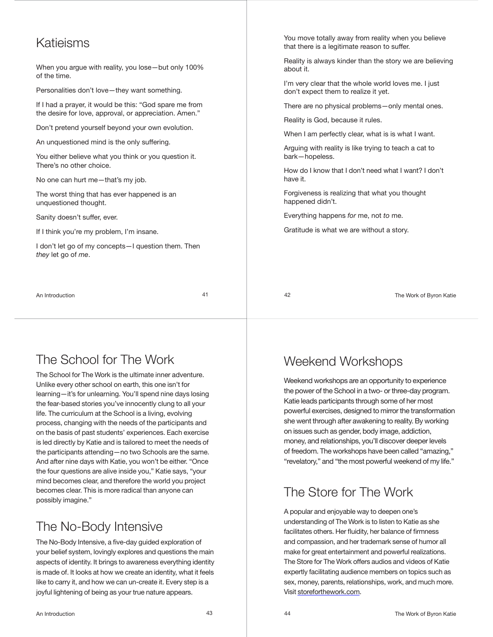# Katieisms

When you argue with reality, you lose—but only 100% of the time.

Personalities don't love—they want something.

If I had a prayer, it would be this: "God spare me from the desire for love, approval, or appreciation. Amen."

Don't pretend yourself beyond your own evolution.

An unquestioned mind is the only suffering.

You either believe what you think or you question it. There's no other choice.

No one can hurt me—that's my job.

The worst thing that has ever happened is an unquestioned thought.

Sanity doesn't suffer, ever.

If I think you're my problem, I'm insane.

I don't let go of my concepts—I question them. Then *they* let go of *me*.

An Introduction 41

# The School for The Work

The School for The Work is the ultimate inner adventure. Unlike every other school on earth, this one isn't for learning—it's for unlearning. You'll spend nine days losing the fear-based stories you've innocently clung to all your life. The curriculum at the School is a living, evolving process, changing with the needs of the participants and on the basis of past students' experiences. Each exercise is led directly by Katie and is tailored to meet the needs of the participants attending—no two Schools are the same. And after nine days with Katie, you won't be either. "Once the four questions are alive inside you," Katie says, "your mind becomes clear, and therefore the world you project becomes clear. This is more radical than anyone can possibly imagine."

# The No-Body Intensive

The No-Body Intensive, a five-day guided exploration of your belief system, lovingly explores and questions the main aspects of identity. It brings to awareness everything identity is made of. It looks at how we create an identity, what it feels like to carry it, and how we can un-create it. Every step is a joyful lightening of being as your true nature appears.

You move totally away from reality when you believe that there is a legitimate reason to suffer.

Reality is always kinder than the story we are believing about it.

I'm very clear that the whole world loves me. I just don't expect them to realize it yet.

There are no physical problems—only mental ones.

Reality is God, because it rules.

When I am perfectly clear, what is is what I want.

Arguing with reality is like trying to teach a cat to bark—hopeless.

How do I know that I don't need what I want? I don't have it.

Forgiveness is realizing that what you thought happened didn't.

Everything happens *for* me, not *to* me.

Gratitude is what we are without a story.

42 The Work of Byron Katie

### Weekend Workshops

Weekend workshops are an opportunity to experience the power of the School in a two- or three-day program. Katie leads participants through some of her most powerful exercises, designed to mirror the transformation she went through after awakening to reality. By working on issues such as gender, body image, addiction, money, and relationships, you'll discover deeper levels of freedom. The workshops have been called "amazing," "revelatory," and "the most powerful weekend of my life."

### The Store for The Work

A popular and enjoyable way to deepen one's understanding of The Work is to listen to Katie as she facilitates others. Her fluidity, her balance of firmness and compassion, and her trademark sense of humor all make for great entertainment and powerful realizations. The Store for The Work offers audios and videos of Katie expertly facilitating audience members on topics such as sex, money, parents, relationships, work, and much more. Visit [storeforthework.com](http://www.storeforthework.com).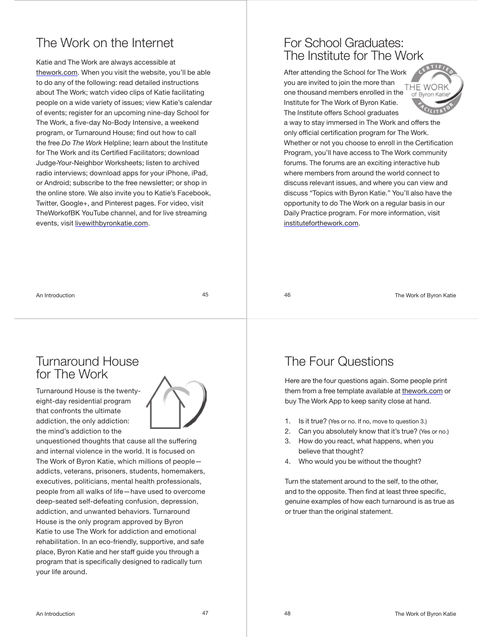# The Work on the Internet

Katie and The Work are always accessible at [thework.com. W](http://www.thework.com)hen you visit the website, you'll be able to do any of the following: read detailed instructions about The Work; watch video clips of Katie facilitating people on a wide variety of issues; view Katie's calendar of events; register for an upcoming nine-day School for The Work, a five-day No-Body Intensive, a weekend program, or Turnaround House; find out how to call the free *Do The Work* Helpline; learn about the Institute for The Work and its Certified Facilitators; download Judge-Your-Neighbor Worksheets; listen to archived radio interviews; download apps for your iPhone, iPad, or Android; subscribe to the free newsletter; or shop in the online store. We also invite you to Katie's Facebook, Twitter, Google+, and Pinterest pages. For video, visit TheWorkofBK YouTube channel, and for live streaming events, vis[it livewithbyronkatie.com](http://www.livewithbyronkatie.com).

### For School Graduates: The Institute for The Work

After attending the School for The Work, you are invited to join the more than  $\frac{1}{2}$  and invited to join the more than  $\frac{1}{2}$  THE WORK one thousand members enrolled in the  $\frac{1}{2}$  of Byron Katie Institute for The Work of Byron Katie. The Institute offers School graduates



a way to stay immersed in The Work and offers the only official certification program for The Work. Whether or not you choose to enroll in the Certification Program, you'll have access to The Work community forums. The forums are an exciting interactive hub where members from around the world connect to discuss relevant issues, and where you can view and discuss "Topics with Byron Katie." You'll also have the opportunity to do The Work on a regular basis in our Daily Practice program. For more information, visit [instituteforthework.com](http://www.instituteforthework.com).

46 The Work of Byron Katie

#### An Introduction 45

### Turnaround House for The Work

Turnaround House is the twentyeight-day residential program that confronts the ultimate addiction, the only addiction: the mind's addiction to the



unquestioned thoughts that cause all the suffering and internal violence in the world. It is focused on The Work of Byron Katie, which millions of people addicts, veterans, prisoners, students, homemakers, executives, politicians, mental health professionals, people from all walks of life—have used to overcome deep-seated self-defeating confusion, depression, addiction, and unwanted behaviors. Turnaround House is the only program approved by Byron Katie to use The Work for addiction and emotional rehabilitation. In an eco-friendly, supportive, and safe place, Byron Katie and her staff guide you through a program that is specifically designed to radically turn your life around.

### The Four Questions

Here are the four questions again. Some people print them from a free template available [at thework.com](http://www.thework.com) or buy The Work App to keep sanity close at hand.

- 1. Is it true? (Yes or no. If no, move to question 3.)
- 2. Can you absolutely know that it's true? (Yes or no.)
- 3. How do you react, what happens, when you believe that thought?
- 4. Who would you be without the thought?

Turn the statement around to the self, to the other, and to the opposite. Then find at least three specific, genuine examples of how each turnaround is as true as or truer than the original statement.